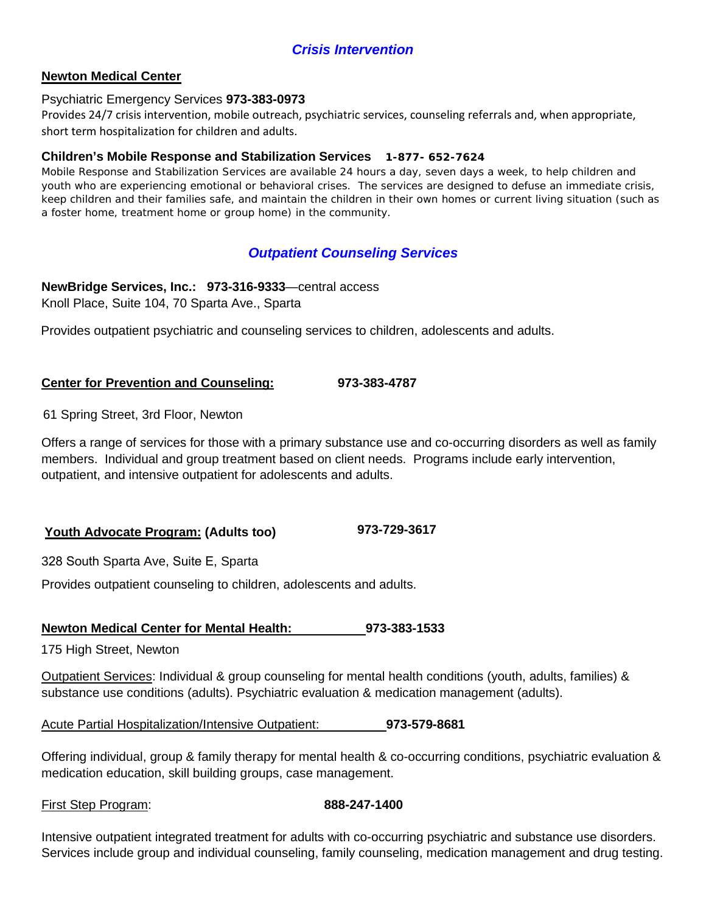## *Crisis Intervention*

#### **Newton Medical Center**

Psychiatric Emergency Services **973-383-0973** 

Provides 24/7 crisis intervention, mobile outreach, psychiatric services, counseling referrals and, when appropriate, short term hospitalization for children and adults.

#### **Children's Mobile Response and Stabilization Services 1-877- 652-7624**

Mobile Response and Stabilization Services are available 24 hours a day, seven days a week, to help children and youth who are experiencing emotional or behavioral crises. The services are designed to defuse an immediate crisis, keep children and their families safe, and maintain the children in their own homes or current living situation (such as a foster home, treatment home or group home) in the community.

### *Outpatient Counseling Services*

**NewBridge Services, Inc.: 973-316-9333**—central access Knoll Place, Suite 104, 70 Sparta Ave., Sparta

Provides outpatient psychiatric and counseling services to children, adolescents and adults.

#### **Center for Prevention and Counseling: 973-383-4787**

61 Spring Street, 3rd Floor, Newton

Offers a range of services for those with a primary substance use and co-occurring disorders as well as family members. Individual and group treatment based on client needs. Programs include early intervention, outpatient, and intensive outpatient for adolescents and adults.

## **Youth Advocate Program: (Adults too) 973-729-3617**

328 South Sparta Ave, Suite E, Sparta

Provides outpatient counseling to children, adolescents and adults.

#### **Newton Medical Center for Mental Health: 973-383-1533**

175 High Street, Newton

Outpatient Services: Individual & group counseling for mental health conditions (youth, adults, families) & substance use conditions (adults). Psychiatric evaluation & medication management (adults).

Acute Partial Hospitalization/Intensive Outpatient: **973-579-8681**

Offering individual, group & family therapy for mental health & co-occurring conditions, psychiatric evaluation & medication education, skill building groups, case management.

First Step Program: **888-247-1400**

Intensive outpatient integrated treatment for adults with co-occurring psychiatric and substance use disorders. Services include group and individual counseling, family counseling, medication management and drug testing.